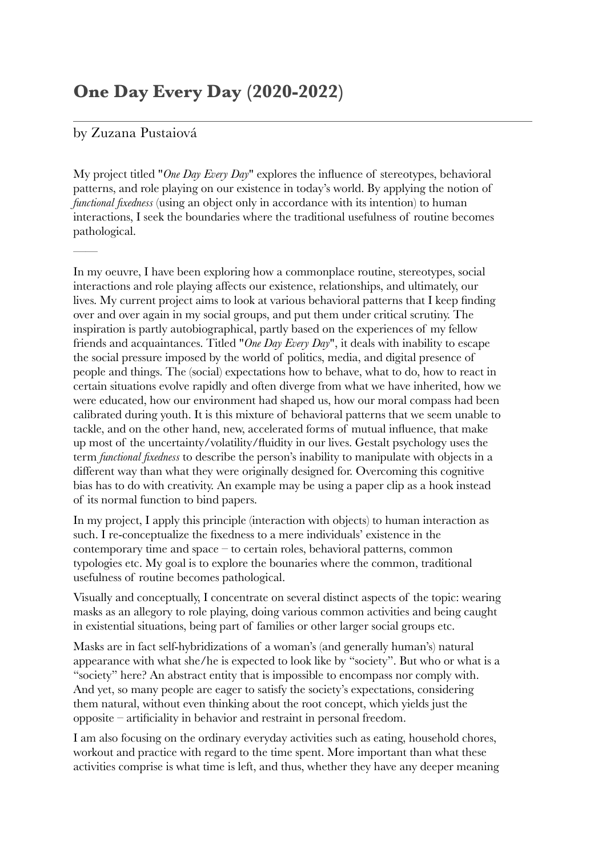## **One Day Every Day (2020-2022)**

## by Zuzana Pustaiová

——

My project titled "*One Day Every Day*" explores the influence of stereotypes, behavioral patterns, and role playing on our existence in today's world. By applying the notion of *functional fixedness* (using an object only in accordance with its intention) to human interactions, I seek the boundaries where the traditional usefulness of routine becomes pathological.

In my oeuvre, I have been exploring how a commonplace routine, stereotypes, social interactions and role playing affects our existence, relationships, and ultimately, our lives. My current project aims to look at various behavioral patterns that I keep finding over and over again in my social groups, and put them under critical scrutiny. The inspiration is partly autobiographical, partly based on the experiences of my fellow friends and acquaintances. Titled "*One Day Every Day*", it deals with inability to escape the social pressure imposed by the world of politics, media, and digital presence of people and things. The (social) expectations how to behave, what to do, how to react in certain situations evolve rapidly and often diverge from what we have inherited, how we were educated, how our environment had shaped us, how our moral compass had been calibrated during youth. It is this mixture of behavioral patterns that we seem unable to tackle, and on the other hand, new, accelerated forms of mutual influence, that make up most of the uncertainty/volatility/fluidity in our lives. Gestalt psychology uses the term *functional fixedness* to describe the person's inability to manipulate with objects in a different way than what they were originally designed for. Overcoming this cognitive bias has to do with creativity. An example may be using a paper clip as a hook instead of its normal function to bind papers.

In my project, I apply this principle (interaction with objects) to human interaction as such. I re-conceptualize the fixedness to a mere individuals' existence in the contemporary time and space – to certain roles, behavioral patterns, common typologies etc. My goal is to explore the bounaries where the common, traditional usefulness of routine becomes pathological.

Visually and conceptually, I concentrate on several distinct aspects of the topic: wearing masks as an allegory to role playing, doing various common activities and being caught in existential situations, being part of families or other larger social groups etc.

Masks are in fact self-hybridizations of a woman's (and generally human's) natural appearance with what she/he is expected to look like by "society". But who or what is a "society" here? An abstract entity that is impossible to encompass nor comply with. And yet, so many people are eager to satisfy the society's expectations, considering them natural, without even thinking about the root concept, which yields just the opposite – artificiality in behavior and restraint in personal freedom.

I am also focusing on the ordinary everyday activities such as eating, household chores, workout and practice with regard to the time spent. More important than what these activities comprise is what time is left, and thus, whether they have any deeper meaning